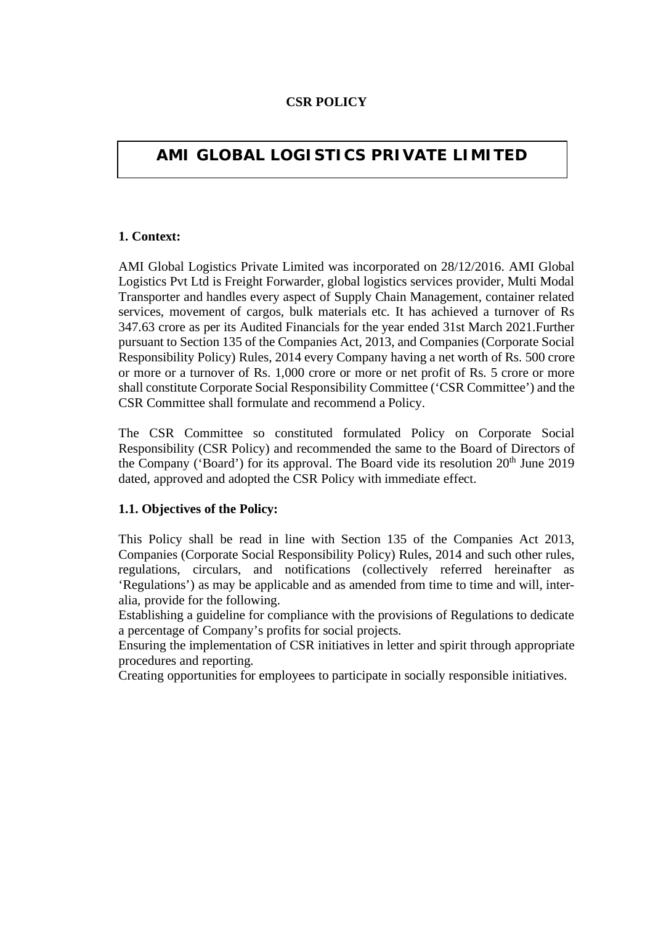## **CSR POLICY**

# **AMI GLOBAL LOGISTICS PRIVATE LIMITED**

## **1. Context:**

AMI Global Logistics Private Limited was incorporated on 28/12/2016. AMI Global Logistics Pvt Ltd is Freight Forwarder, global logistics services provider, Multi Modal Transporter and handles every aspect of Supply Chain Management, container related services, movement of cargos, bulk materials etc. It has achieved a turnover of Rs 347.63 crore as per its Audited Financials for the year ended 31st March 2021.Further pursuant to Section 135 of the Companies Act, 2013, and Companies (Corporate Social Responsibility Policy) Rules, 2014 every Company having a net worth of Rs. 500 crore or more or a turnover of Rs. 1,000 crore or more or net profit of Rs. 5 crore or more shall constitute Corporate Social Responsibility Committee ('CSR Committee') and the CSR Committee shall formulate and recommend a Policy.

The CSR Committee so constituted formulated Policy on Corporate Social Responsibility (CSR Policy) and recommended the same to the Board of Directors of the Company ('Board') for its approval. The Board vide its resolution  $20<sup>th</sup>$  June 2019 dated, approved and adopted the CSR Policy with immediate effect.

#### **1.1. Objectives of the Policy:**

This Policy shall be read in line with Section 135 of the Companies Act 2013, Companies (Corporate Social Responsibility Policy) Rules, 2014 and such other rules, regulations, circulars, and notifications (collectively referred hereinafter as 'Regulations') as may be applicable and as amended from time to time and will, interalia, provide for the following.

Establishing a guideline for compliance with the provisions of Regulations to dedicate a percentage of Company's profits for social projects.

Ensuring the implementation of CSR initiatives in letter and spirit through appropriate procedures and reporting.

Creating opportunities for employees to participate in socially responsible initiatives.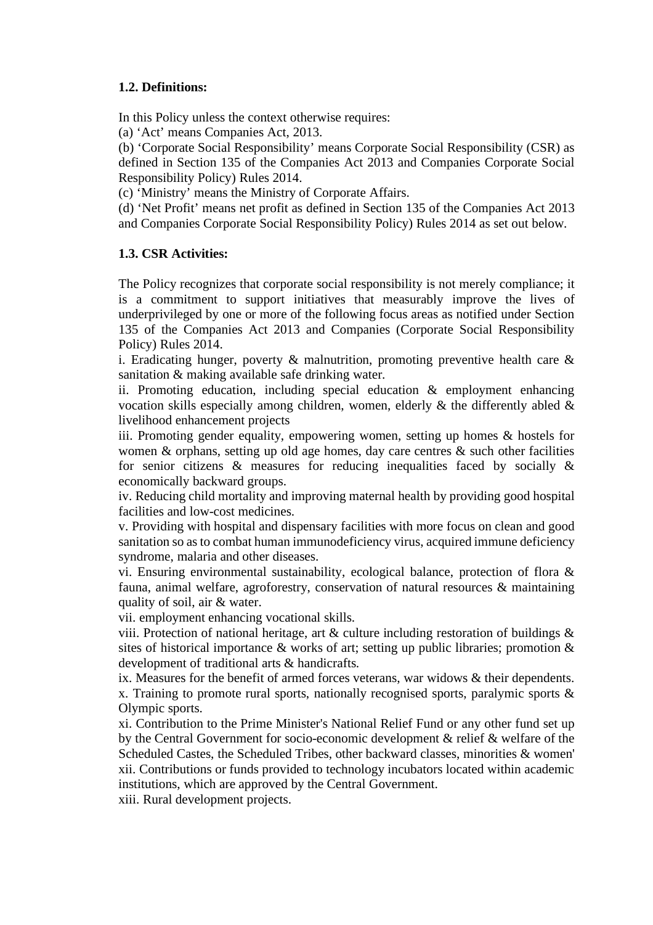### **1.2. Definitions:**

In this Policy unless the context otherwise requires:

(a) 'Act' means Companies Act, 2013.

(b) 'Corporate Social Responsibility' means Corporate Social Responsibility (CSR) as defined in Section 135 of the Companies Act 2013 and Companies Corporate Social Responsibility Policy) Rules 2014.

(c) 'Ministry' means the Ministry of Corporate Affairs.

(d) 'Net Profit' means net profit as defined in Section 135 of the Companies Act 2013 and Companies Corporate Social Responsibility Policy) Rules 2014 as set out below.

## **1.3. CSR Activities:**

The Policy recognizes that corporate social responsibility is not merely compliance; it is a commitment to support initiatives that measurably improve the lives of underprivileged by one or more of the following focus areas as notified under Section 135 of the Companies Act 2013 and Companies (Corporate Social Responsibility Policy) Rules 2014.

i. Eradicating hunger, poverty  $\&$  malnutrition, promoting preventive health care  $\&$ sanitation & making available safe drinking water.

ii. Promoting education, including special education & employment enhancing vocation skills especially among children, women, elderly & the differently abled & livelihood enhancement projects

iii. Promoting gender equality, empowering women, setting up homes & hostels for women  $\&$  orphans, setting up old age homes, day care centres  $\&$  such other facilities for senior citizens  $\&$  measures for reducing inequalities faced by socially  $\&$ economically backward groups.

iv. Reducing child mortality and improving maternal health by providing good hospital facilities and low-cost medicines.

v. Providing with hospital and dispensary facilities with more focus on clean and good sanitation so as to combat human immunodeficiency virus, acquired immune deficiency syndrome, malaria and other diseases.

vi. Ensuring environmental sustainability, ecological balance, protection of flora & fauna, animal welfare, agroforestry, conservation of natural resources & maintaining quality of soil, air & water.

vii. employment enhancing vocational skills.

viii. Protection of national heritage, art & culture including restoration of buildings & sites of historical importance  $\&$  works of art; setting up public libraries; promotion  $\&$ development of traditional arts & handicrafts.

ix. Measures for the benefit of armed forces veterans, war widows & their dependents. x. Training to promote rural sports, nationally recognised sports, paralymic sports & Olympic sports.

xi. Contribution to the Prime Minister's National Relief Fund or any other fund set up by the Central Government for socio-economic development & relief & welfare of the Scheduled Castes, the Scheduled Tribes, other backward classes, minorities & women' xii. Contributions or funds provided to technology incubators located within academic institutions, which are approved by the Central Government.

xiii. Rural development projects.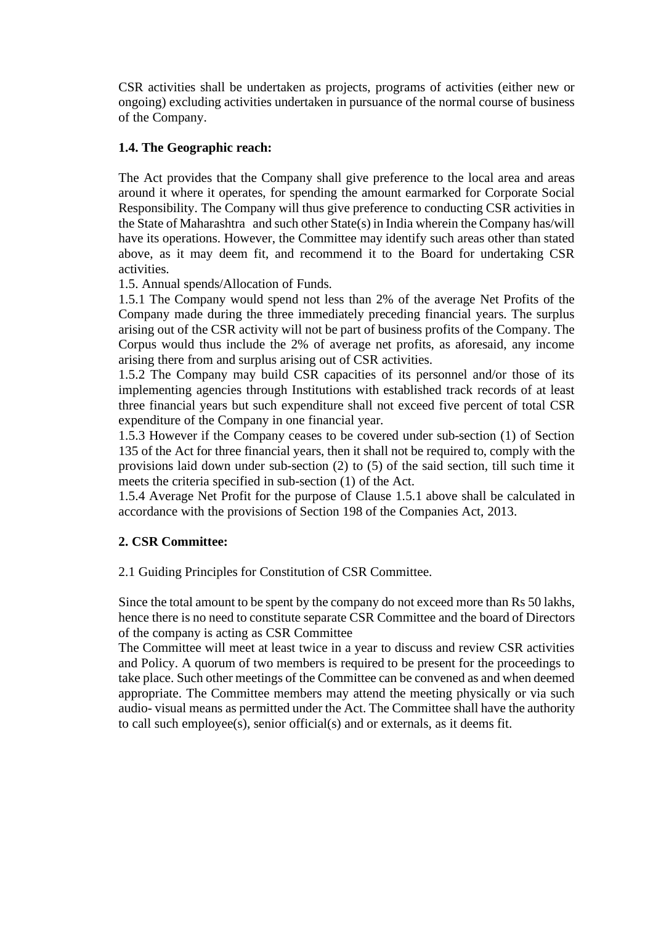CSR activities shall be undertaken as projects, programs of activities (either new or ongoing) excluding activities undertaken in pursuance of the normal course of business of the Company.

#### **1.4. The Geographic reach:**

The Act provides that the Company shall give preference to the local area and areas around it where it operates, for spending the amount earmarked for Corporate Social Responsibility. The Company will thus give preference to conducting CSR activities in the State of Maharashtra and such other State(s) in India wherein the Company has/will have its operations. However, the Committee may identify such areas other than stated above, as it may deem fit, and recommend it to the Board for undertaking CSR activities.

1.5. Annual spends/Allocation of Funds.

1.5.1 The Company would spend not less than 2% of the average Net Profits of the Company made during the three immediately preceding financial years. The surplus arising out of the CSR activity will not be part of business profits of the Company. The Corpus would thus include the 2% of average net profits, as aforesaid, any income arising there from and surplus arising out of CSR activities.

1.5.2 The Company may build CSR capacities of its personnel and/or those of its implementing agencies through Institutions with established track records of at least three financial years but such expenditure shall not exceed five percent of total CSR expenditure of the Company in one financial year.

1.5.3 However if the Company ceases to be covered under sub-section (1) of Section 135 of the Act for three financial years, then it shall not be required to, comply with the provisions laid down under sub-section (2) to (5) of the said section, till such time it meets the criteria specified in sub-section (1) of the Act.

1.5.4 Average Net Profit for the purpose of Clause 1.5.1 above shall be calculated in accordance with the provisions of Section 198 of the Companies Act, 2013.

# **2. CSR Committee:**

#### 2.1 Guiding Principles for Constitution of CSR Committee.

Since the total amount to be spent by the company do not exceed more than Rs 50 lakhs, hence there is no need to constitute separate CSR Committee and the board of Directors of the company is acting as CSR Committee

The Committee will meet at least twice in a year to discuss and review CSR activities and Policy. A quorum of two members is required to be present for the proceedings to take place. Such other meetings of the Committee can be convened as and when deemed appropriate. The Committee members may attend the meeting physically or via such audio- visual means as permitted under the Act. The Committee shall have the authority to call such employee(s), senior official(s) and or externals, as it deems fit.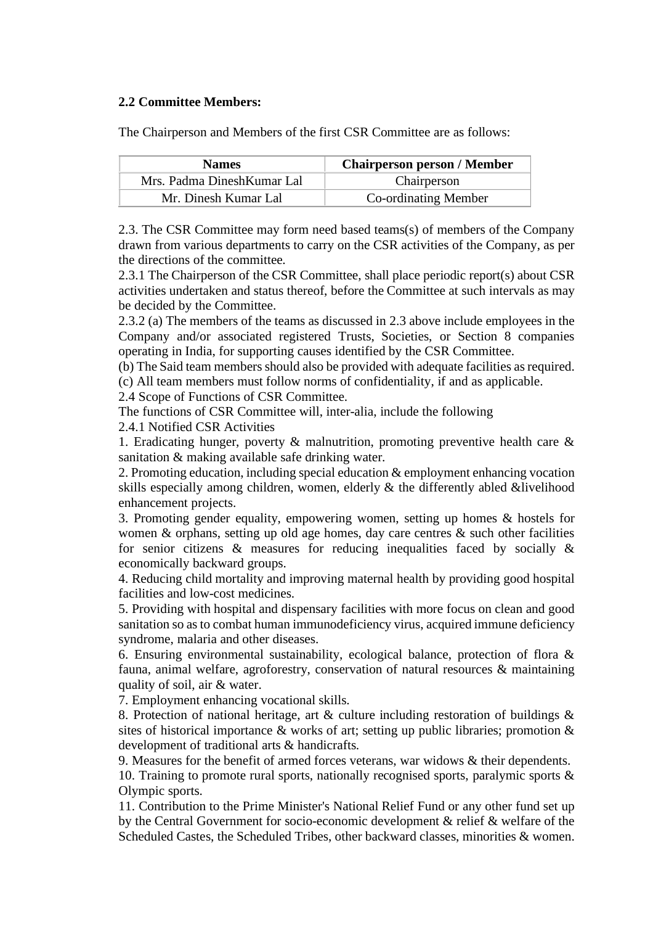#### **2.2 Committee Members:**

The Chairperson and Members of the first CSR Committee are as follows:

| <b>Names</b>               | <b>Chairperson person / Member</b> |  |
|----------------------------|------------------------------------|--|
| Mrs. Padma DineshKumar Lal | Chairperson                        |  |
| Mr. Dinesh Kumar Lal       | <b>Co-ordinating Member</b>        |  |

2.3. The CSR Committee may form need based teams(s) of members of the Company drawn from various departments to carry on the CSR activities of the Company, as per the directions of the committee.

2.3.1 The Chairperson of the CSR Committee, shall place periodic report(s) about CSR activities undertaken and status thereof, before the Committee at such intervals as may be decided by the Committee.

2.3.2 (a) The members of the teams as discussed in 2.3 above include employees in the Company and/or associated registered Trusts, Societies, or Section 8 companies operating in India, for supporting causes identified by the CSR Committee.

(b) The Said team members should also be provided with adequate facilities as required.

(c) All team members must follow norms of confidentiality, if and as applicable.

2.4 Scope of Functions of CSR Committee.

The functions of CSR Committee will, inter-alia, include the following

2.4.1 Notified CSR Activities

1. Eradicating hunger, poverty  $\&$  malnutrition, promoting preventive health care  $\&$ sanitation & making available safe drinking water.

2. Promoting education, including special education & employment enhancing vocation skills especially among children, women, elderly & the differently abled &livelihood enhancement projects.

3. Promoting gender equality, empowering women, setting up homes & hostels for women  $\&$  orphans, setting up old age homes, day care centres  $\&$  such other facilities for senior citizens  $\&$  measures for reducing inequalities faced by socially  $\&$ economically backward groups.

4. Reducing child mortality and improving maternal health by providing good hospital facilities and low-cost medicines.

5. Providing with hospital and dispensary facilities with more focus on clean and good sanitation so as to combat human immunodeficiency virus, acquired immune deficiency syndrome, malaria and other diseases.

6. Ensuring environmental sustainability, ecological balance, protection of flora & fauna, animal welfare, agroforestry, conservation of natural resources & maintaining quality of soil, air & water.

7. Employment enhancing vocational skills.

8. Protection of national heritage, art & culture including restoration of buildings & sites of historical importance & works of art; setting up public libraries; promotion & development of traditional arts & handicrafts.

9. Measures for the benefit of armed forces veterans, war widows & their dependents.

10. Training to promote rural sports, nationally recognised sports, paralymic sports  $\&$ Olympic sports.

11. Contribution to the Prime Minister's National Relief Fund or any other fund set up by the Central Government for socio-economic development & relief & welfare of the Scheduled Castes, the Scheduled Tribes, other backward classes, minorities & women.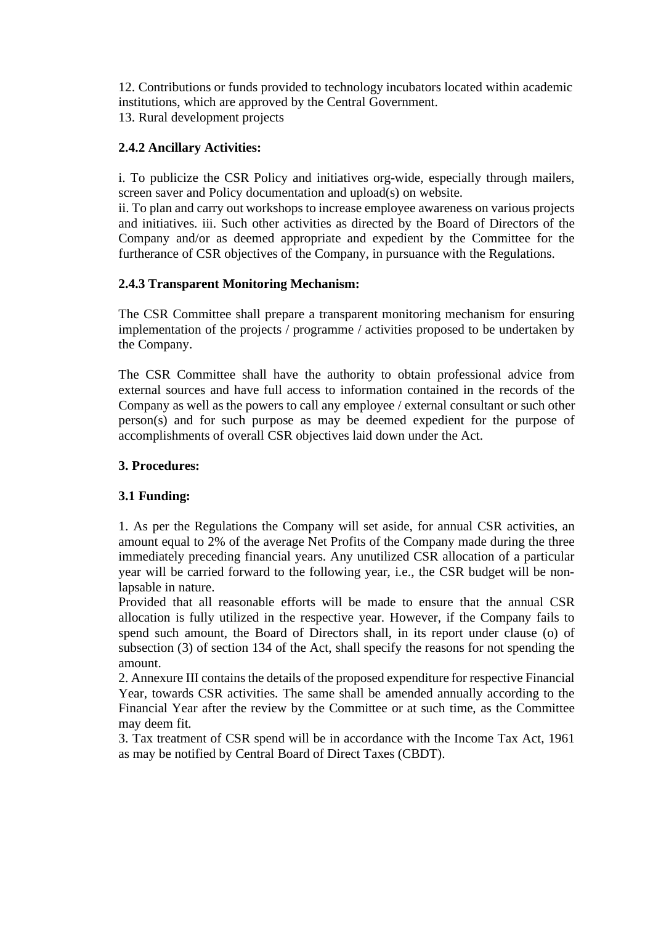12. Contributions or funds provided to technology incubators located within academic institutions, which are approved by the Central Government. 13. Rural development projects

# **2.4.2 Ancillary Activities:**

i. To publicize the CSR Policy and initiatives org-wide, especially through mailers, screen saver and Policy documentation and upload(s) on website.

ii. To plan and carry out workshops to increase employee awareness on various projects and initiatives. iii. Such other activities as directed by the Board of Directors of the Company and/or as deemed appropriate and expedient by the Committee for the furtherance of CSR objectives of the Company, in pursuance with the Regulations.

# **2.4.3 Transparent Monitoring Mechanism:**

The CSR Committee shall prepare a transparent monitoring mechanism for ensuring implementation of the projects / programme / activities proposed to be undertaken by the Company.

The CSR Committee shall have the authority to obtain professional advice from external sources and have full access to information contained in the records of the Company as well as the powers to call any employee / external consultant or such other person(s) and for such purpose as may be deemed expedient for the purpose of accomplishments of overall CSR objectives laid down under the Act.

# **3. Procedures:**

# **3.1 Funding:**

1. As per the Regulations the Company will set aside, for annual CSR activities, an amount equal to 2% of the average Net Profits of the Company made during the three immediately preceding financial years. Any unutilized CSR allocation of a particular year will be carried forward to the following year, i.e., the CSR budget will be nonlapsable in nature.

Provided that all reasonable efforts will be made to ensure that the annual CSR allocation is fully utilized in the respective year. However, if the Company fails to spend such amount, the Board of Directors shall, in its report under clause (o) of subsection (3) of section 134 of the Act, shall specify the reasons for not spending the amount.

2. Annexure III contains the details of the proposed expenditure for respective Financial Year, towards CSR activities. The same shall be amended annually according to the Financial Year after the review by the Committee or at such time, as the Committee may deem fit.

3. Tax treatment of CSR spend will be in accordance with the Income Tax Act, 1961 as may be notified by Central Board of Direct Taxes (CBDT).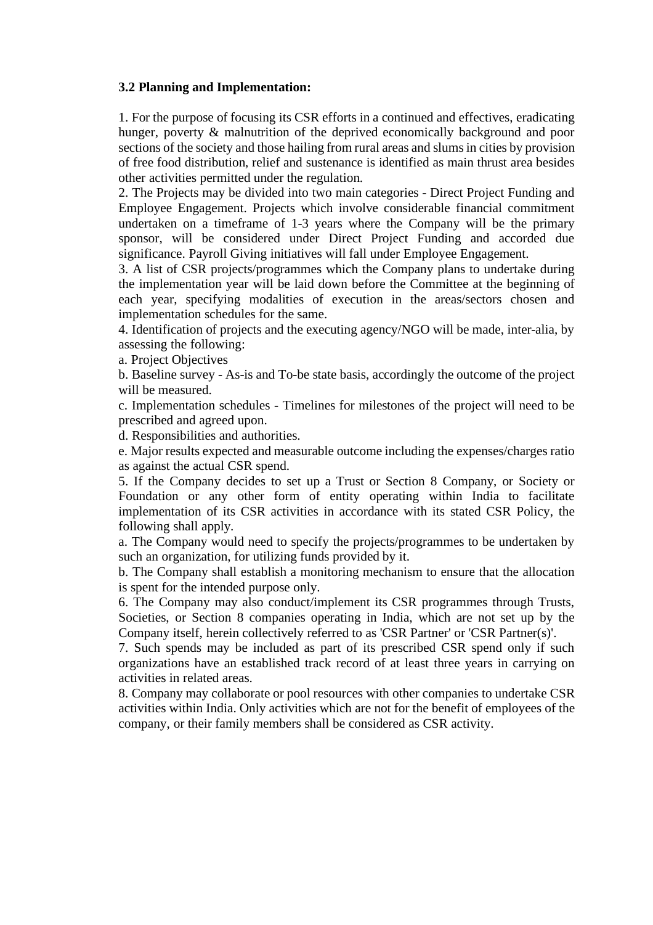#### **3.2 Planning and Implementation:**

1. For the purpose of focusing its CSR efforts in a continued and effectives, eradicating hunger, poverty & malnutrition of the deprived economically background and poor sections of the society and those hailing from rural areas and slums in cities by provision of free food distribution, relief and sustenance is identified as main thrust area besides other activities permitted under the regulation.

2. The Projects may be divided into two main categories - Direct Project Funding and Employee Engagement. Projects which involve considerable financial commitment undertaken on a timeframe of 1-3 years where the Company will be the primary sponsor, will be considered under Direct Project Funding and accorded due significance. Payroll Giving initiatives will fall under Employee Engagement.

3. A list of CSR projects/programmes which the Company plans to undertake during the implementation year will be laid down before the Committee at the beginning of each year, specifying modalities of execution in the areas/sectors chosen and implementation schedules for the same.

4. Identification of projects and the executing agency/NGO will be made, inter-alia, by assessing the following:

a. Project Objectives

b. Baseline survey - As-is and To-be state basis, accordingly the outcome of the project will be measured.

c. Implementation schedules - Timelines for milestones of the project will need to be prescribed and agreed upon.

d. Responsibilities and authorities.

e. Major results expected and measurable outcome including the expenses/charges ratio as against the actual CSR spend.

5. If the Company decides to set up a Trust or Section 8 Company, or Society or Foundation or any other form of entity operating within India to facilitate implementation of its CSR activities in accordance with its stated CSR Policy, the following shall apply.

a. The Company would need to specify the projects/programmes to be undertaken by such an organization, for utilizing funds provided by it.

b. The Company shall establish a monitoring mechanism to ensure that the allocation is spent for the intended purpose only.

6. The Company may also conduct/implement its CSR programmes through Trusts, Societies, or Section 8 companies operating in India, which are not set up by the Company itself, herein collectively referred to as 'CSR Partner' or 'CSR Partner(s)'.

7. Such spends may be included as part of its prescribed CSR spend only if such organizations have an established track record of at least three years in carrying on activities in related areas.

8. Company may collaborate or pool resources with other companies to undertake CSR activities within India. Only activities which are not for the benefit of employees of the company, or their family members shall be considered as CSR activity.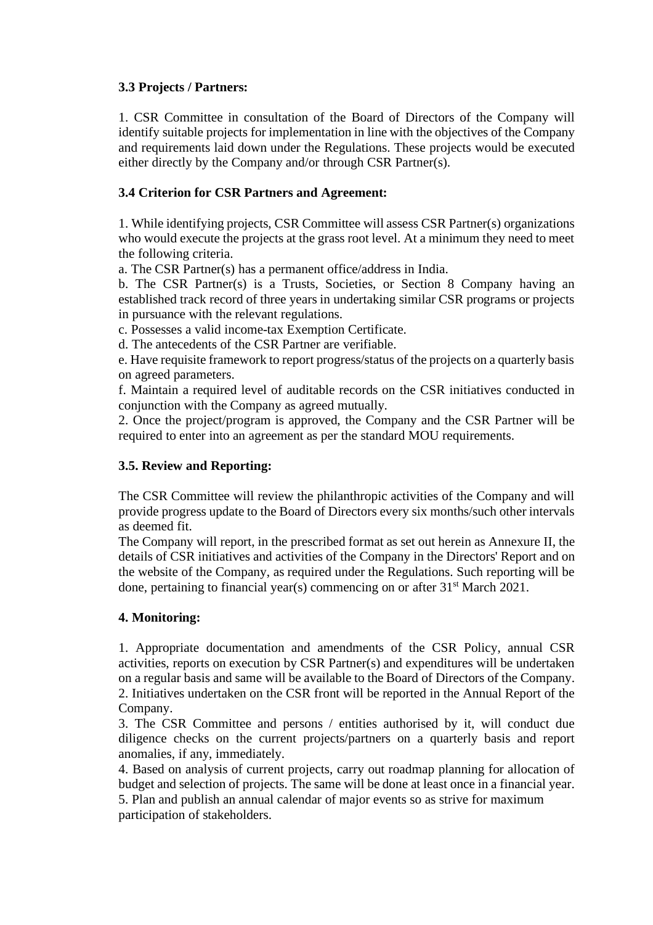## **3.3 Projects / Partners:**

1. CSR Committee in consultation of the Board of Directors of the Company will identify suitable projects for implementation in line with the objectives of the Company and requirements laid down under the Regulations. These projects would be executed either directly by the Company and/or through CSR Partner(s).

## **3.4 Criterion for CSR Partners and Agreement:**

1. While identifying projects, CSR Committee will assess CSR Partner(s) organizations who would execute the projects at the grass root level. At a minimum they need to meet the following criteria.

a. The CSR Partner(s) has a permanent office/address in India.

b. The CSR Partner(s) is a Trusts, Societies, or Section 8 Company having an established track record of three years in undertaking similar CSR programs or projects in pursuance with the relevant regulations.

c. Possesses a valid income-tax Exemption Certificate.

d. The antecedents of the CSR Partner are verifiable.

e. Have requisite framework to report progress/status of the projects on a quarterly basis on agreed parameters.

f. Maintain a required level of auditable records on the CSR initiatives conducted in conjunction with the Company as agreed mutually.

2. Once the project/program is approved, the Company and the CSR Partner will be required to enter into an agreement as per the standard MOU requirements.

# **3.5. Review and Reporting:**

The CSR Committee will review the philanthropic activities of the Company and will provide progress update to the Board of Directors every six months/such other intervals as deemed fit.

The Company will report, in the prescribed format as set out herein as Annexure II, the details of CSR initiatives and activities of the Company in the Directors' Report and on the website of the Company, as required under the Regulations. Such reporting will be done, pertaining to financial year(s) commencing on or after  $31<sup>st</sup>$  March 2021.

# **4. Monitoring:**

1. Appropriate documentation and amendments of the CSR Policy, annual CSR activities, reports on execution by CSR Partner(s) and expenditures will be undertaken on a regular basis and same will be available to the Board of Directors of the Company. 2. Initiatives undertaken on the CSR front will be reported in the Annual Report of the Company.

3. The CSR Committee and persons / entities authorised by it, will conduct due diligence checks on the current projects/partners on a quarterly basis and report anomalies, if any, immediately.

4. Based on analysis of current projects, carry out roadmap planning for allocation of budget and selection of projects. The same will be done at least once in a financial year. 5. Plan and publish an annual calendar of major events so as strive for maximum participation of stakeholders.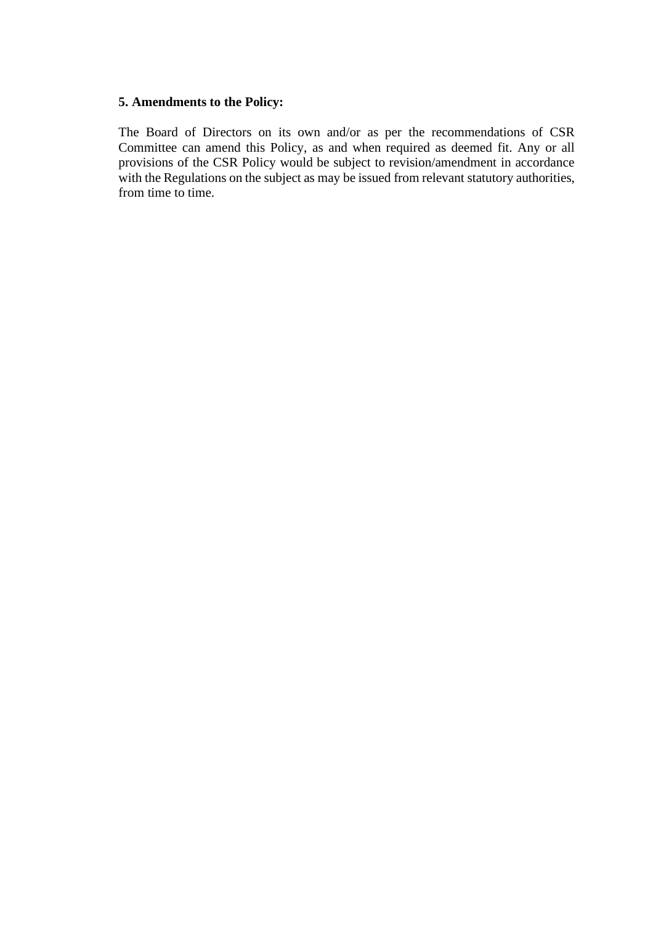#### **5. Amendments to the Policy:**

The Board of Directors on its own and/or as per the recommendations of CSR Committee can amend this Policy, as and when required as deemed fit. Any or all provisions of the CSR Policy would be subject to revision/amendment in accordance with the Regulations on the subject as may be issued from relevant statutory authorities, from time to time.